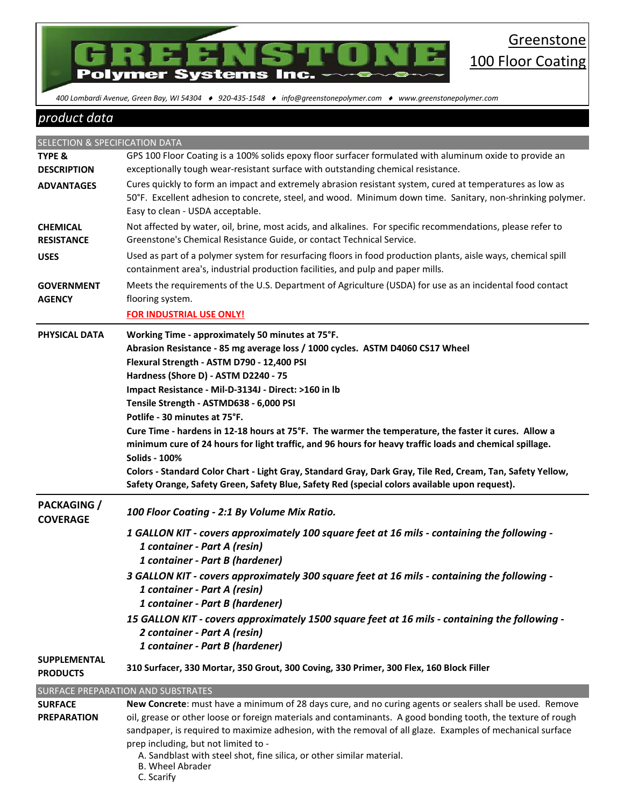

86

 *400 Lombardi Avenue, Green Bay, WI 54304 920-435-1548 info@greenstonepolymer.com www.greenstonepolymer.com* 

# *product data*

| SELECTION & SPECIFICATION DATA         |                                                                                                                                                                                                                                                                                                                                                                                                                                                                                                                                                                                                                                                                                                                                                                                                                       |
|----------------------------------------|-----------------------------------------------------------------------------------------------------------------------------------------------------------------------------------------------------------------------------------------------------------------------------------------------------------------------------------------------------------------------------------------------------------------------------------------------------------------------------------------------------------------------------------------------------------------------------------------------------------------------------------------------------------------------------------------------------------------------------------------------------------------------------------------------------------------------|
| <b>TYPE &amp;</b>                      | GPS 100 Floor Coating is a 100% solids epoxy floor surfacer formulated with aluminum oxide to provide an                                                                                                                                                                                                                                                                                                                                                                                                                                                                                                                                                                                                                                                                                                              |
| <b>DESCRIPTION</b>                     | exceptionally tough wear-resistant surface with outstanding chemical resistance.                                                                                                                                                                                                                                                                                                                                                                                                                                                                                                                                                                                                                                                                                                                                      |
| <b>ADVANTAGES</b>                      | Cures quickly to form an impact and extremely abrasion resistant system, cured at temperatures as low as<br>50°F. Excellent adhesion to concrete, steel, and wood. Minimum down time. Sanitary, non-shrinking polymer.<br>Easy to clean - USDA acceptable.                                                                                                                                                                                                                                                                                                                                                                                                                                                                                                                                                            |
| <b>CHEMICAL</b><br><b>RESISTANCE</b>   | Not affected by water, oil, brine, most acids, and alkalines. For specific recommendations, please refer to<br>Greenstone's Chemical Resistance Guide, or contact Technical Service.                                                                                                                                                                                                                                                                                                                                                                                                                                                                                                                                                                                                                                  |
| <b>USES</b>                            | Used as part of a polymer system for resurfacing floors in food production plants, aisle ways, chemical spill<br>containment area's, industrial production facilities, and pulp and paper mills.                                                                                                                                                                                                                                                                                                                                                                                                                                                                                                                                                                                                                      |
| <b>GOVERNMENT</b><br><b>AGENCY</b>     | Meets the requirements of the U.S. Department of Agriculture (USDA) for use as an incidental food contact<br>flooring system.<br><b>FOR INDUSTRIAL USE ONLY!</b>                                                                                                                                                                                                                                                                                                                                                                                                                                                                                                                                                                                                                                                      |
| PHYSICAL DATA                          | Working Time - approximately 50 minutes at 75°F.<br>Abrasion Resistance - 85 mg average loss / 1000 cycles. ASTM D4060 CS17 Wheel<br>Flexural Strength - ASTM D790 - 12,400 PSI<br>Hardness (Shore D) - ASTM D2240 - 75<br>Impact Resistance - Mil-D-3134J - Direct: >160 in lb<br>Tensile Strength - ASTMD638 - 6,000 PSI<br>Potlife - 30 minutes at 75°F.<br>Cure Time - hardens in 12-18 hours at 75°F. The warmer the temperature, the faster it cures. Allow a<br>minimum cure of 24 hours for light traffic, and 96 hours for heavy traffic loads and chemical spillage.<br><b>Solids - 100%</b><br>Colors - Standard Color Chart - Light Gray, Standard Gray, Dark Gray, Tile Red, Cream, Tan, Safety Yellow,<br>Safety Orange, Safety Green, Safety Blue, Safety Red (special colors available upon request). |
| <b>PACKAGING</b> /<br><b>COVERAGE</b>  | 100 Floor Coating - 2:1 By Volume Mix Ratio.                                                                                                                                                                                                                                                                                                                                                                                                                                                                                                                                                                                                                                                                                                                                                                          |
|                                        | 1 GALLON KIT - covers approximately 100 square feet at 16 mils - containing the following -<br>1 container - Part A (resin)<br>1 container - Part B (hardener)<br>3 GALLON KIT - covers approximately 300 square feet at 16 mils - containing the following -<br>1 container - Part A (resin)<br>1 container - Part B (hardener)<br>15 GALLON KIT - covers approximately 1500 square feet at 16 mils - containing the following -<br>2 container - Part A (resin)<br>1 container - Part B (hardener)                                                                                                                                                                                                                                                                                                                  |
| <b>SUPPLEMENTAL</b><br><b>PRODUCTS</b> | 310 Surfacer, 330 Mortar, 350 Grout, 300 Coving, 330 Primer, 300 Flex, 160 Block Filler                                                                                                                                                                                                                                                                                                                                                                                                                                                                                                                                                                                                                                                                                                                               |
|                                        | SURFACE PREPARATION AND SUBSTRATES                                                                                                                                                                                                                                                                                                                                                                                                                                                                                                                                                                                                                                                                                                                                                                                    |
| <b>SURFACE</b>                         | New Concrete: must have a minimum of 28 days cure, and no curing agents or sealers shall be used. Remove                                                                                                                                                                                                                                                                                                                                                                                                                                                                                                                                                                                                                                                                                                              |
| <b>PREPARATION</b>                     | oil, grease or other loose or foreign materials and contaminants. A good bonding tooth, the texture of rough<br>sandpaper, is required to maximize adhesion, with the removal of all glaze. Examples of mechanical surface<br>prep including, but not limited to -<br>A. Sandblast with steel shot, fine silica, or other similar material.<br><b>B. Wheel Abrader</b>                                                                                                                                                                                                                                                                                                                                                                                                                                                |

C. Scarify